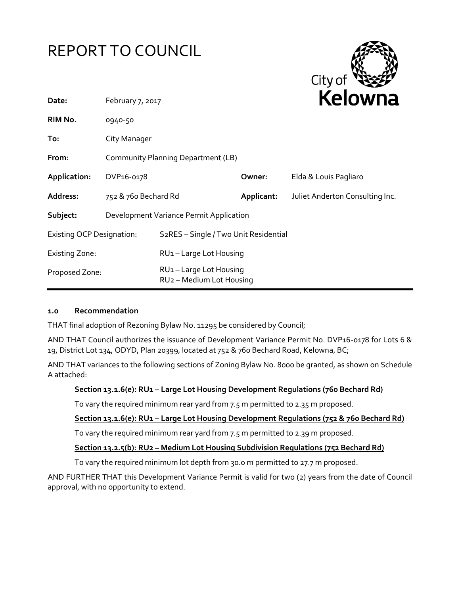



| Date:                            | February 7, 2017                        |                                                               | <b>NEIUWII</b> d |                                 |
|----------------------------------|-----------------------------------------|---------------------------------------------------------------|------------------|---------------------------------|
| RIM No.                          | 0940-50                                 |                                                               |                  |                                 |
| To:                              | City Manager                            |                                                               |                  |                                 |
| From:                            | Community Planning Department (LB)      |                                                               |                  |                                 |
| Application:                     | DVP <sub>16-017</sub> 8                 |                                                               | Owner:           | Elda & Louis Pagliaro           |
| Address:                         | 752 & 760 Bechard Rd                    |                                                               | Applicant:       | Juliet Anderton Consulting Inc. |
| Subject:                         | Development Variance Permit Application |                                                               |                  |                                 |
| <b>Existing OCP Designation:</b> |                                         | S <sub>2</sub> RES - Single / Two Unit Residential            |                  |                                 |
| <b>Existing Zone:</b>            |                                         | RU1-Large Lot Housing                                         |                  |                                 |
| Proposed Zone:                   |                                         | RU1-Large Lot Housing<br>RU <sub>2</sub> - Medium Lot Housing |                  |                                 |

## **1.0 Recommendation**

THAT final adoption of Rezoning Bylaw No. 11295 be considered by Council;

AND THAT Council authorizes the issuance of Development Variance Permit No. DVP16-0178 for Lots 6 & 19, District Lot 134, ODYD, Plan 20399, located at 752 & 760 Bechard Road, Kelowna, BC;

AND THAT variances to the following sections of Zoning Bylaw No. 8000 be granted, as shown on Schedule A attached:

## **Section 13.1.6(e): RU1 – Large Lot Housing Development Regulations (760 Bechard Rd)**

To vary the required minimum rear yard from 7.5 m permitted to 2.35 m proposed.

## **Section 13.1.6(e): RU1 – Large Lot Housing Development Regulations (752 & 760 Bechard Rd)**

To vary the required minimum rear yard from 7.5 m permitted to 2.39 m proposed.

# **Section 13.2.5(b): RU2 – Medium Lot Housing Subdivision Regulations (752 Bechard Rd)**

To vary the required minimum lot depth from 30.0 m permitted to 27.7 m proposed.

AND FURTHER THAT this Development Variance Permit is valid for two (2) years from the date of Council approval, with no opportunity to extend.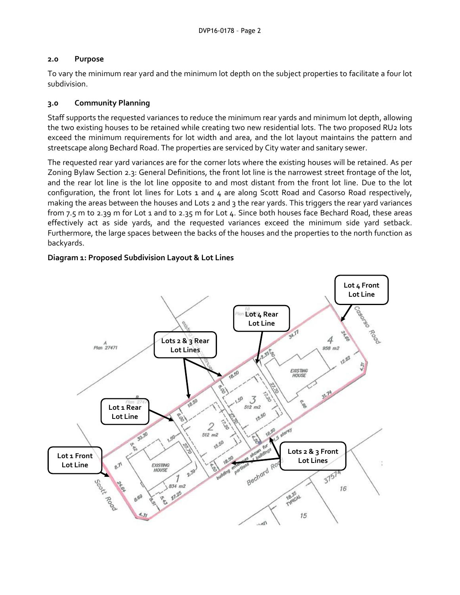## **2.0 Purpose**

To vary the minimum rear yard and the minimum lot depth on the subject properties to facilitate a four lot subdivision.

# **3.0 Community Planning**

Staff supports the requested variances to reduce the minimum rear yards and minimum lot depth, allowing the two existing houses to be retained while creating two new residential lots. The two proposed RU2 lots exceed the minimum requirements for lot width and area, and the lot layout maintains the pattern and streetscape along Bechard Road. The properties are serviced by City water and sanitary sewer.

The requested rear yard variances are for the corner lots where the existing houses will be retained. As per Zoning Bylaw Section 2.3: General Definitions, the front lot line is the narrowest street frontage of the lot, and the rear lot line is the lot line opposite to and most distant from the front lot line. Due to the lot configuration, the front lot lines for Lots 1 and 4 are along Scott Road and Casorso Road respectively, making the areas between the houses and Lots 2 and 3 the rear yards. This triggers the rear yard variances from 7.5 m to 2.39 m for Lot 1 and to 2.35 m for Lot 4. Since both houses face Bechard Road, these areas effectively act as side yards, and the requested variances exceed the minimum side yard setback. Furthermore, the large spaces between the backs of the houses and the properties to the north function as backyards.

# **Diagram 1: Proposed Subdivision Layout & Lot Lines**

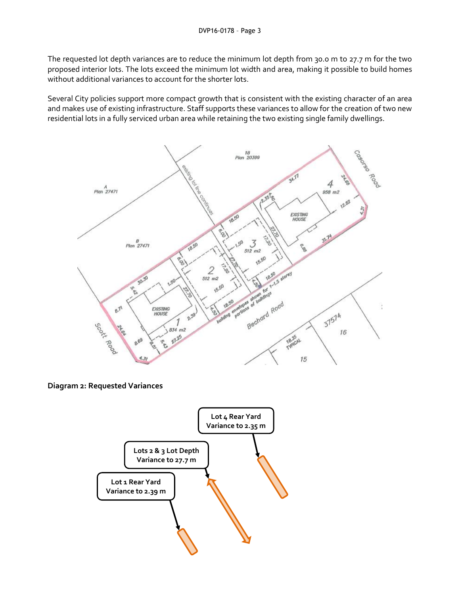The requested lot depth variances are to reduce the minimum lot depth from 30.0 m to 27.7 m for the two proposed interior lots. The lots exceed the minimum lot width and area, making it possible to build homes without additional variances to account for the shorter lots.

Several City policies support more compact growth that is consistent with the existing character of an area and makes use of existing infrastructure. Staff supports these variances to allow for the creation of two new residential lots in a fully serviced urban area while retaining the two existing single family dwellings.



**Diagram 2: Requested Variances**

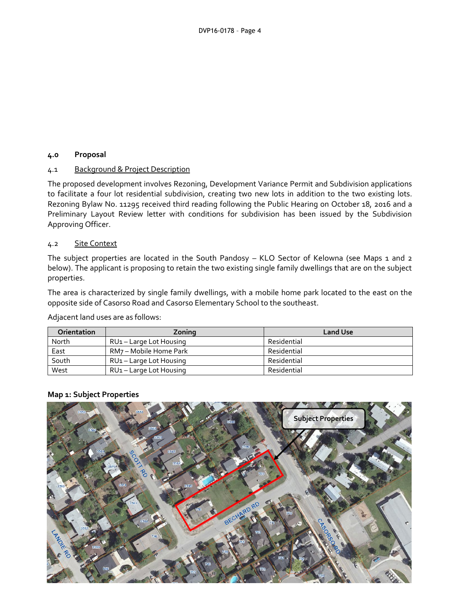# **4.0 Proposal**

## 4.1 Background & Project Description

The proposed development involves Rezoning, Development Variance Permit and Subdivision applications to facilitate a four lot residential subdivision, creating two new lots in addition to the two existing lots. Rezoning Bylaw No. 11295 received third reading following the Public Hearing on October 18, 2016 and a Preliminary Layout Review letter with conditions for subdivision has been issued by the Subdivision Approving Officer.

## 4.2 Site Context

The subject properties are located in the South Pandosy – KLO Sector of Kelowna (see Maps 1 and 2 below). The applicant is proposing to retain the two existing single family dwellings that are on the subject properties.

The area is characterized by single family dwellings, with a mobile home park located to the east on the opposite side of Casorso Road and Casorso Elementary School to the southeast.

Adjacent land uses are as follows:

| <b>Orientation</b> | Zoning                              | <b>Land Use</b> |
|--------------------|-------------------------------------|-----------------|
| North              | RU <sub>1</sub> – Large Lot Housing | Residential     |
| East               | RM7 – Mobile Home Park              | Residential     |
| South              | RU <sub>1</sub> – Large Lot Housing | Residential     |
| West               | RU <sub>1</sub> – Large Lot Housing | Residential     |

#### **Map 1: Subject Properties**

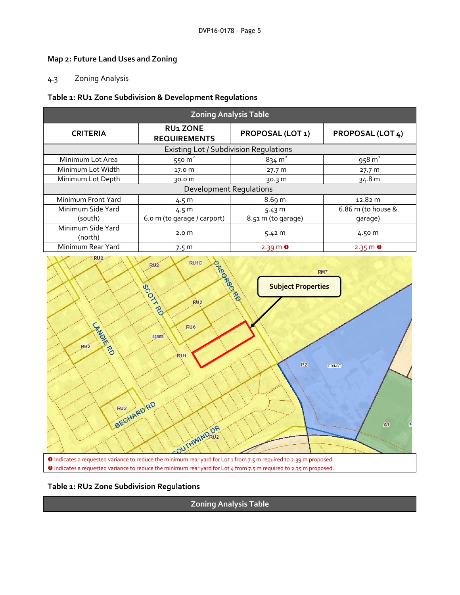# **Map 2: Future Land Uses and Zoning**

# 4.3 Zoning Analysis

### **Table 1: RU1 Zone Subdivision & Development Regulations**

| <b>Zoning Analysis Table</b>                  |                                        |                         |                      |
|-----------------------------------------------|----------------------------------------|-------------------------|----------------------|
| <b>CRITERIA</b>                               | <b>RU1 ZONE</b><br><b>REQUIREMENTS</b> | <b>PROPOSAL (LOT 1)</b> | PROPOSAL (LOT 4)     |
| <b>Existing Lot / Subdivision Regulations</b> |                                        |                         |                      |
| Minimum Lot Area                              | 550 $m2$                               | $834 \text{ m}^2$       | $958 \text{ m}^2$    |
| Minimum Lot Width                             | 17.0 m                                 | 27.7 m                  | 27.7 m               |
| Minimum Lot Depth                             | 30.0 m                                 | 30.3 m                  | 34.8 m               |
| <b>Development Requlations</b>                |                                        |                         |                      |
| Minimum Front Yard                            | 4.5 m                                  | 8.69 m                  | 12.82 m              |
| Minimum Side Yard                             | 4.5 m                                  | 5.43 m                  | 6.86 m (to house &   |
| (south)                                       | 6.0 m (to garage / carport)            | 8.51 m (to garage)      | garage)              |
| Minimum Side Yard<br>(north)                  | 2.0 <sub>m</sub>                       | 5.42 m                  | 4.50 m               |
| Minimum Rear Yard                             | 7.5 <sub>m</sub>                       | $2.39 \text{ m}$ 0      | $2.35 \, \text{m}$ 8 |





**Zoning Analysis Table**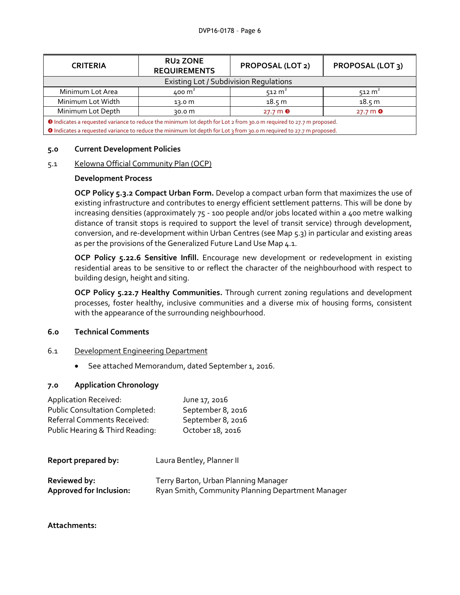| <b>CRITERIA</b>                                                                                                            | <b>RU2 ZONE</b><br><b>REQUIREMENTS</b> | <b>PROPOSAL (LOT 2)</b> | PROPOSAL (LOT 3)   |
|----------------------------------------------------------------------------------------------------------------------------|----------------------------------------|-------------------------|--------------------|
| <b>Existing Lot / Subdivision Regulations</b>                                                                              |                                        |                         |                    |
| Minimum Lot Area                                                                                                           | 400 m <sup>2</sup>                     | $512 \text{ m}^2$       | $512 \text{ m}^2$  |
| Minimum Lot Width                                                                                                          | 13.0 m                                 | 18.5 m                  | 18.5 m             |
| Minimum Lot Depth                                                                                                          | 30.0 m                                 | $27.7 \text{ m}$ 8      | $27.7 \text{ m}$ 0 |
| <b>O</b> Indicates a requested variance to reduce the minimum lot depth for Lot 2 from 30.0 m required to 27.7 m proposed. |                                        |                         |                    |
| O Indicates a requested variance to reduce the minimum lot depth for Lot 3 from 30.0 m required to 27.7 m proposed.        |                                        |                         |                    |

## **5.0 Current Development Policies**

## 5.1 Kelowna Official Community Plan (OCP)

## **Development Process**

**OCP Policy 5.3.2 Compact Urban Form.** Develop a compact urban form that maximizes the use of existing infrastructure and contributes to energy efficient settlement patterns. This will be done by increasing densities (approximately 75 - 100 people and/or jobs located within a 400 metre walking distance of transit stops is required to support the level of transit service) through development, conversion, and re-development within Urban Centres (see Map 5.3) in particular and existing areas as per the provisions of the Generalized Future Land Use Map 4.1.

**OCP Policy 5.22.6 Sensitive Infill.** Encourage new development or redevelopment in existing residential areas to be sensitive to or reflect the character of the neighbourhood with respect to building design, height and siting.

**OCP Policy 5.22.7 Healthy Communities.** Through current zoning regulations and development processes, foster healthy, inclusive communities and a diverse mix of housing forms, consistent with the appearance of the surrounding neighbourhood.

## **6.0 Technical Comments**

- 6.1 Development Engineering Department
	- See attached Memorandum, dated September 1, 2016.

## **7.0 Application Chronology**

| <b>Application Received:</b>          | June 17, 2016     |
|---------------------------------------|-------------------|
| <b>Public Consultation Completed:</b> | September 8, 2016 |
| Referral Comments Received:           | September 8, 2016 |
| Public Hearing & Third Reading:       | October 18, 2016  |

| Report prepared by:            | Laura Bentley, Planner II                         |  |
|--------------------------------|---------------------------------------------------|--|
| <b>Reviewed by:</b>            | Terry Barton, Urban Planning Manager              |  |
| <b>Approved for Inclusion:</b> | Ryan Smith, Community Planning Department Manager |  |

**Attachments:**